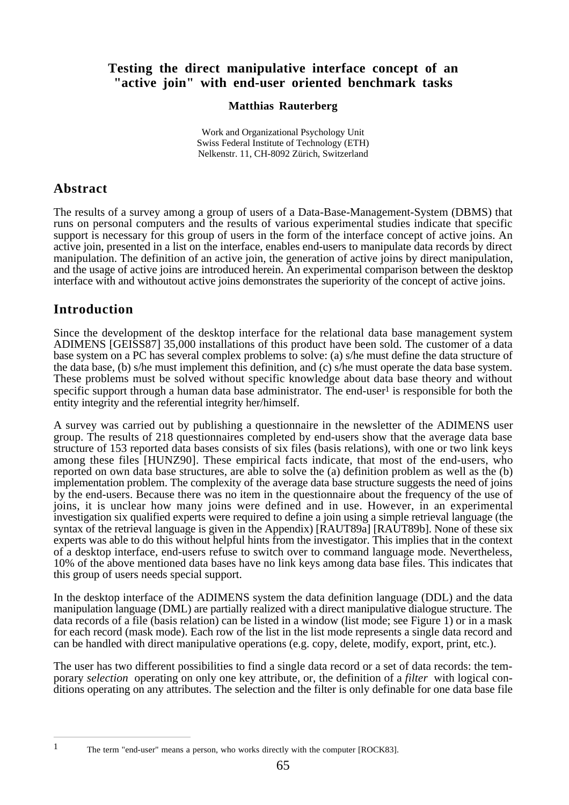#### **Testing the direct manipulative interface concept of an "active join" with end-user oriented benchmark tasks**

#### **Matthias Rauterberg**

Work and Organizational Psychology Unit Swiss Federal Institute of Technology (ETH) Nelkenstr. 11, CH-8092 Zürich, Switzerland

#### **Abstract**

The results of a survey among a group of users of a Data-Base-Management-System (DBMS) that runs on personal computers and the results of various experimental studies indicate that specific support is necessary for this group of users in the form of the interface concept of active joins. An active join, presented in a list on the interface, enables end-users to manipulate data records by direct manipulation. The definition of an active join, the generation of active joins by direct manipulation, and the usage of active joins are introduced herein. An experimental comparison between the desktop interface with and withoutout active joins demonstrates the superiority of the concept of active joins.

#### **Introduction**

Since the development of the desktop interface for the relational data base management system ADIMENS [GEISS87] 35,000 installations of this product have been sold. The customer of a data base system on a PC has several complex problems to solve: (a) s/he must define the data structure of the data base, (b) s/he must implement this definition, and (c) s/he must operate the data base system. These problems must be solved without specific knowledge about data base theory and without specific support through a human data base administrator. The end-user<sup>1</sup> is responsible for both the entity integrity and the referential integrity her/himself.

A survey was carried out by publishing a questionnaire in the newsletter of the ADIMENS user group. The results of 218 questionnaires completed by end-users show that the average data base structure of 153 reported data bases consists of six files (basis relations), with one or two link keys among these files [HUNZ90]. These empirical facts indicate, that most of the end-users, who reported on own data base structures, are able to solve the (a) definition problem as well as the (b) implementation problem. The complexity of the average data base structure suggests the need of joins by the end-users. Because there was no item in the questionnaire about the frequency of the use of joins, it is unclear how many joins were defined and in use. However, in an experimental investigation six qualified experts were required to define a join using a simple retrieval language (the syntax of the retrieval language is given in the Appendix) [RAUT89a] [RAUT89b]. None of these six experts was able to do this without helpful hints from the investigator. This implies that in the context of a desktop interface, end-users refuse to switch over to command language mode. Nevertheless, 10% of the above mentioned data bases have no link keys among data base files. This indicates that this group of users needs special support.

In the desktop interface of the ADIMENS system the data definition language (DDL) and the data manipulation language (DML) are partially realized with a direct manipulative dialogue structure. The data records of a file (basis relation) can be listed in a window (list mode; see Figure 1) or in a mask for each record (mask mode). Each row of the list in the list mode represents a single data record and can be handled with direct manipulative operations (e.g. copy, delete, modify, export, print, etc.).

The user has two different possibilities to find a single data record or a set of data records: the temporary *selection* operating on only one key attribute, or, the definition of a *filter* with logical conditions operating on any attributes. The selection and the filter is only definable for one data base file

<sup>1</sup> The term "end-user" means a person, who works directly with the computer [ROCK83].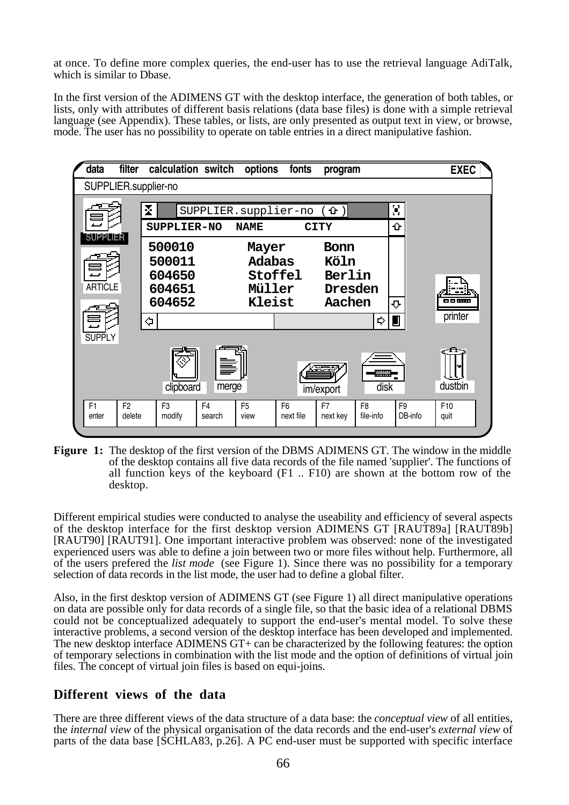at once. To define more complex queries, the end-user has to use the retrieval language AdiTalk, which is similar to Dbase.

In the first version of the ADIMENS GT with the desktop interface, the generation of both tables, or lists, only with attributes of different basis relations (data base files) is done with a simple retrieval language (see Appendix). These tables, or lists, are only presented as output text in view, or browse, mode. The user has no possibility to operate on table entries in a direct manipulative fashion.



**Figure 1:** The desktop of the first version of the DBMS ADIMENS GT. The window in the middle of the desktop contains all five data records of the file named 'supplier'. The functions of all function keys of the keyboard (F1 .. F10) are shown at the bottom row of the desktop.

Different empirical studies were conducted to analyse the useability and efficiency of several aspects of the desktop interface for the first desktop version ADIMENS GT [RAUT89a] [RAUT89b] [RAUT90] [RAUT91]. One important interactive problem was observed: none of the investigated experienced users was able to define a join between two or more files without help. Furthermore, all of the users prefered the *list mode* (see Figure 1). Since there was no possibility for a temporary selection of data records in the list mode, the user had to define a global filter.

Also, in the first desktop version of ADIMENS GT (see Figure 1) all direct manipulative operations on data are possible only for data records of a single file, so that the basic idea of a relational DBMS could not be conceptualized adequately to support the end-user's mental model. To solve these interactive problems, a second version of the desktop interface has been developed and implemented. The new desktop interface ADIMENS GT+ can be characterized by the following features: the option of temporary selections in combination with the list mode and the option of definitions of virtual join files. The concept of virtual join files is based on equi-joins.

#### **Different views of the data**

There are three different views of the data structure of a data base: the *conceptual view* of all entities, the *internal view* of the physical organisation of the data records and the end-user's *external view* of parts of the data base [SCHLA83, p.26]. A PC end-user must be supported with specific interface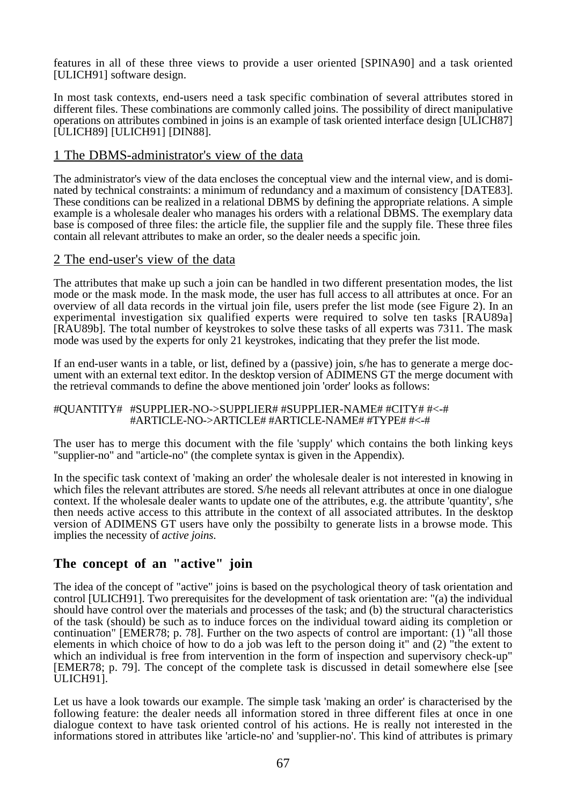features in all of these three views to provide a user oriented [SPINA90] and a task oriented [ULICH91] software design.

In most task contexts, end-users need a task specific combination of several attributes stored in different files. These combinations are commonly called joins. The possibility of direct manipulative operations on attributes combined in joins is an example of task oriented interface design [ULICH87] [ULICH89] [ULICH91] [DIN88].

#### 1 The DBMS-administrator's view of the data

The administrator's view of the data encloses the conceptual view and the internal view, and is dominated by technical constraints: a minimum of redundancy and a maximum of consistency [DATE83]. These conditions can be realized in a relational DBMS by defining the appropriate relations. A simple example is a wholesale dealer who manages his orders with a relational DBMS. The exemplary data base is composed of three files: the article file, the supplier file and the supply file. These three files contain all relevant attributes to make an order, so the dealer needs a specific join.

#### 2 The end-user's view of the data

The attributes that make up such a join can be handled in two different presentation modes, the list mode or the mask mode. In the mask mode, the user has full access to all attributes at once. For an overview of all data records in the virtual join file, users prefer the list mode (see Figure 2). In an experimental investigation six qualified experts were required to solve ten tasks [RAU89a] [RAU89b]. The total number of keystrokes to solve these tasks of all experts was 7311. The mask mode was used by the experts for only 21 keystrokes, indicating that they prefer the list mode.

If an end-user wants in a table, or list, defined by a (passive) join, s/he has to generate a merge document with an external text editor. In the desktop version of ADIMENS GT the merge document with the retrieval commands to define the above mentioned join 'order' looks as follows:

#### #QUANTITY# #SUPPLIER-NO->SUPPLIER# #SUPPLIER-NAME# #CITY# #<-# #ARTICLE-NO->ARTICLE# #ARTICLE-NAME# #TYPE# #<-#

The user has to merge this document with the file 'supply' which contains the both linking keys "supplier-no" and "article-no" (the complete syntax is given in the Appendix).

In the specific task context of 'making an order' the wholesale dealer is not interested in knowing in which files the relevant attributes are stored. S/he needs all relevant attributes at once in one dialogue context. If the wholesale dealer wants to update one of the attributes, e.g. the attribute 'quantity', s/he then needs active access to this attribute in the context of all associated attributes. In the desktop version of ADIMENS GT users have only the possibilty to generate lists in a browse mode. This implies the necessity of *active joins*.

#### **The concept of an "active" join**

The idea of the concept of "active" joins is based on the psychological theory of task orientation and control [ULICH91]. Two prerequisites for the development of task orientation are: "(a) the individual should have control over the materials and processes of the task; and (b) the structural characteristics of the task (should) be such as to induce forces on the individual toward aiding its completion or continuation" [EMER78; p. 78]. Further on the two aspects of control are important: (1) "all those elements in which choice of how to do a job was left to the person doing it" and (2) "the extent to which an individual is free from intervention in the form of inspection and supervisory check-up" [EMER78; p. 79]. The concept of the complete task is discussed in detail somewhere else [see ULICH91].

Let us have a look towards our example. The simple task 'making an order' is characterised by the following feature: the dealer needs all information stored in three different files at once in one dialogue context to have task oriented control of his actions. He is really not interested in the informations stored in attributes like 'article-no' and 'supplier-no'. This kind of attributes is primary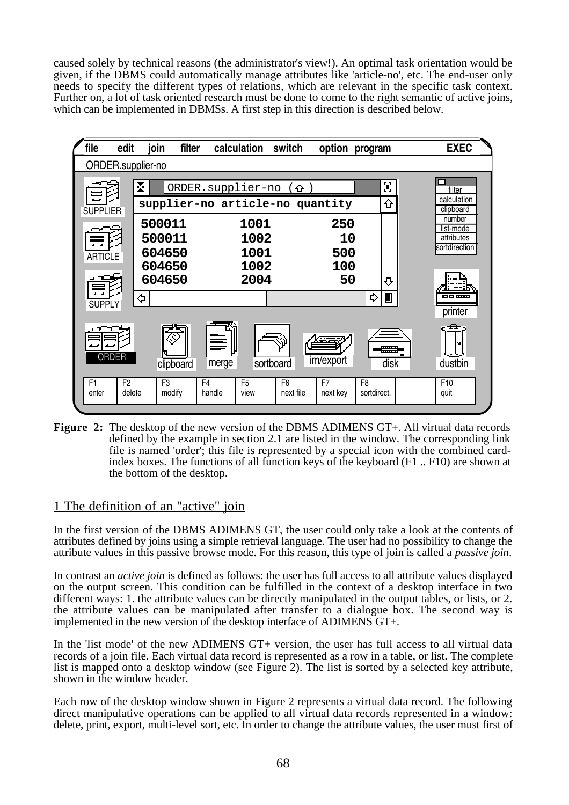caused solely by technical reasons (the administrator's view!). An optimal task orientation would be given, if the DBMS could automatically manage attributes like 'article-no', etc. The end-user only needs to specify the different types of relations, which are relevant in the specific task context. Further on, a lot of task oriented research must be done to come to the right semantic of active joins, which can be implemented in DBMSs. A first step in this direction is described below.



Figure 2: The desktop of the new version of the DBMS ADIMENS GT+. All virtual data records defined by the example in section 2.1 are listed in the window. The corresponding link file is named 'order'; this file is represented by a special icon with the combined cardindex boxes. The functions of all function keys of the keyboard (F1 .. F10) are shown at the bottom of the desktop.

#### 1 The definition of an "active" join

In the first version of the DBMS ADIMENS GT, the user could only take a look at the contents of attributes defined by joins using a simple retrieval language. The user had no possibility to change the attribute values in this passive browse mode. For this reason, this type of join is called a *passive join*.

In contrast an *active join* is defined as follows: the user has full access to all attribute values displayed on the output screen. This condition can be fulfilled in the context of a desktop interface in two different ways: 1. the attribute values can be directly manipulated in the output tables, or lists, or 2. the attribute values can be manipulated after transfer to a dialogue box. The second way is implemented in the new version of the desktop interface of ADIMENS GT+.

In the 'list mode' of the new ADIMENS GT+ version, the user has full access to all virtual data records of a join file. Each virtual data record is represented as a row in a table, or list. The complete list is mapped onto a desktop window (see Figure 2). The list is sorted by a selected key attribute, shown in the window header.

Each row of the desktop window shown in Figure 2 represents a virtual data record. The following direct manipulative operations can be applied to all virtual data records represented in a window: delete, print, export, multi-level sort, etc. In order to change the attribute values, the user must first of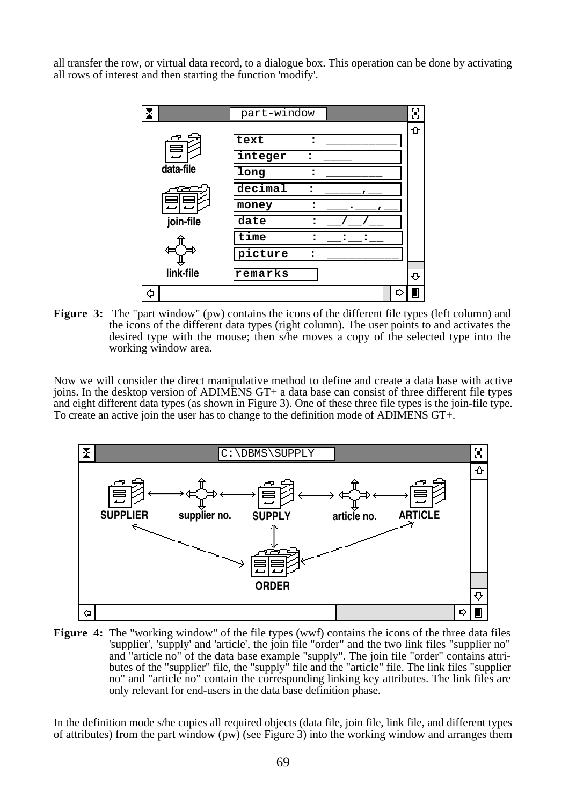all transfer the row, or virtual data record, to a dialogue box. This operation can be done by activating all rows of interest and then starting the function 'modify'.



**Figure 3:** The "part window" (pw) contains the icons of the different file types (left column) and the icons of the different data types (right column). The user points to and activates the desired type with the mouse; then s/he moves a copy of the selected type into the working window area.

Now we will consider the direct manipulative method to define and create a data base with active joins. In the desktop version of ADIMENS GT+ a data base can consist of three different file types and eight different data types (as shown in Figure 3). One of these three file types is the join-file type. To create an active join the user has to change to the definition mode of ADIMENS GT+.



**Figure 4:** The "working window" of the file types (wwf) contains the icons of the three data files 'supplier', 'supply' and 'article', the join file "order" and the two link files "supplier no" and "article no" of the data base example "supply". The join file "order" contains attributes of the "supplier" file, the "supply" file and the "article" file. The link files "supplier no" and "article no" contain the corresponding linking key attributes. The link files are only relevant for end-users in the data base definition phase.

In the definition mode s/he copies all required objects (data file, join file, link file, and different types of attributes) from the part window (pw) (see Figure 3) into the working window and arranges them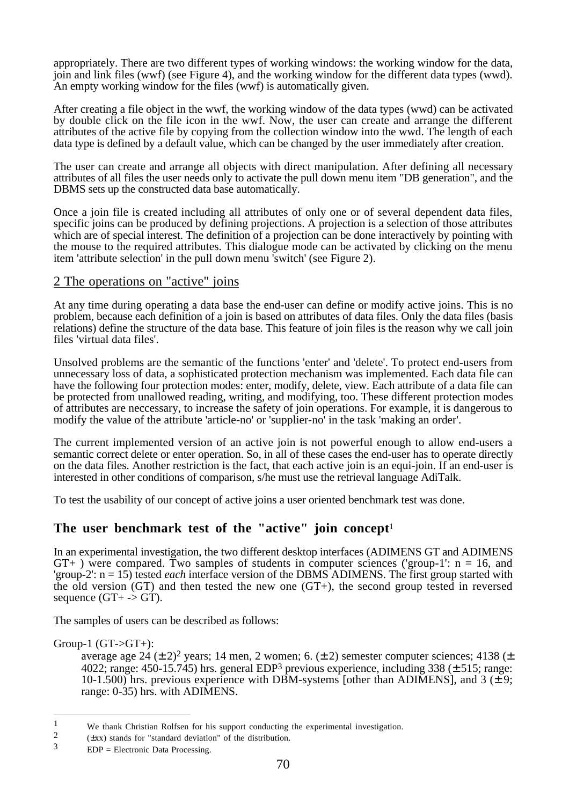appropriately. There are two different types of working windows: the working window for the data, join and link files (wwf) (see Figure 4), and the working window for the different data types (wwd). An empty working window for the files (wwf) is automatically given.

After creating a file object in the wwf, the working window of the data types (wwd) can be activated by double click on the file icon in the wwf. Now, the user can create and arrange the different attributes of the active file by copying from the collection window into the wwd. The length of each data type is defined by a default value, which can be changed by the user immediately after creation.

The user can create and arrange all objects with direct manipulation. After defining all necessary attributes of all files the user needs only to activate the pull down menu item "DB generation", and the DBMS sets up the constructed data base automatically.

Once a join file is created including all attributes of only one or of several dependent data files, specific joins can be produced by defining projections. A projection is a selection of those attributes which are of special interest. The definition of a projection can be done interactively by pointing with the mouse to the required attributes. This dialogue mode can be activated by clicking on the menu item 'attribute selection' in the pull down menu 'switch' (see Figure 2).

#### 2 The operations on "active" joins

At any time during operating a data base the end-user can define or modify active joins. This is no problem, because each definition of a join is based on attributes of data files. Only the data files (basis relations) define the structure of the data base. This feature of join files is the reason why we call join files 'virtual data files'.

Unsolved problems are the semantic of the functions 'enter' and 'delete'. To protect end-users from unnecessary loss of data, a sophisticated protection mechanism was implemented. Each data file can have the following four protection modes: enter, modify, delete, view. Each attribute of a data file can be protected from unallowed reading, writing, and modifying, too. These different protection modes of attributes are neccessary, to increase the safety of join operations. For example, it is dangerous to modify the value of the attribute 'article-no' or 'supplier-no' in the task 'making an order'.

The current implemented version of an active join is not powerful enough to allow end-users a semantic correct delete or enter operation. So, in all of these cases the end-user has to operate directly on the data files. Another restriction is the fact, that each active join is an equi-join. If an end-user is interested in other conditions of comparison, s/he must use the retrieval language AdiTalk.

To test the usability of our concept of active joins a user oriented benchmark test was done.

#### **The user benchmark test of the "active" join concept**<sup>1</sup>

In an experimental investigation, the two different desktop interfaces (ADIMENS GT and ADIMENS  $GT_{+}$ ) were compared. Two samples of students in computer sciences ('group-1': n = 16, and 'group-2': n = 15) tested *each* interface version of the DBMS ADIMENS. The first group started with the old version  $(GT)$  and then tested the new one  $(GT+)$ , the second group tested in reversed sequence  $(GT + \neg > GT)$ .

The samples of users can be described as follows:

Group-1  $(GT > GT+)$ :

average age 24  $(\pm 2)^2$  years; 14 men, 2 women; 6.  $(\pm 2)$  semester computer sciences; 4138  $(\pm 2)$ 4022; range: 450-15.745) hrs. general EDP3 previous experience, including 338 (± 515; range: 10-1.500) hrs. previous experience with DBM-systems [other than ADIMENS], and 3  $(\pm 9;$ range: 0-35) hrs. with ADIMENS.

<sup>&</sup>lt;sup>1</sup> We thank Christian Rolfsen for his support conducting the experimental investigation.<br><sup>2</sup> (+xx) stands for "standard deviation" of the distribution

<sup>&</sup>lt;sup>2</sup> ( $\pm$ xx) stands for "standard deviation" of the distribution.<br><sup>3</sup> EDD – Electronic Dete Processing.

 $EDP = Electronic Data Processing.$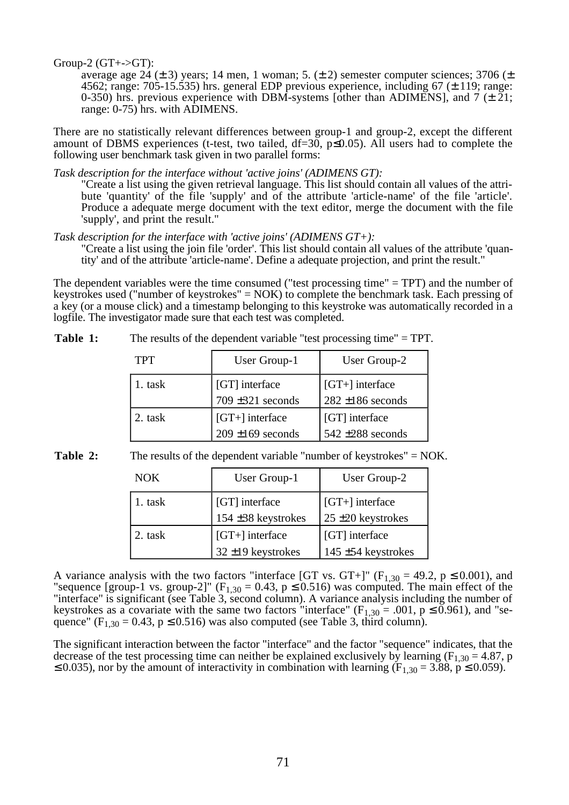Group-2  $(GT + -\geq GT)$ :

average age 24 ( $\pm$  3) years; 14 men, 1 woman; 5. ( $\pm$  2) semester computer sciences; 3706 ( $\pm$ 4562; range: 705-15.535) hrs. general EDP previous experience, including 67  $(\pm 119)$ ; range: 0-350) hrs. previous experience with DBM-systems [other than ADIMENS], and 7 ( $\pm$  21; range: 0-75) hrs. with ADIMENS.

There are no statistically relevant differences between group-1 and group-2, except the different amount of DBMS experiences (t-test, two tailed,  $df=30$ ,  $p\leq 0.05$ ). All users had to complete the following user benchmark task given in two parallel forms:

*Task description for the interface without 'active joins' (ADIMENS GT):* 

"Create a list using the given retrieval language. This list should contain all values of the attribute 'quantity' of the file 'supply' and of the attribute 'article-name' of the file 'article'. Produce a adequate merge document with the text editor, merge the document with the file 'supply', and print the result."

*Task description for the interface with 'active joins' (ADIMENS GT+):* 

"Create a list using the join file 'order'. This list should contain all values of the attribute 'quantity' and of the attribute 'article-name'. Define a adequate projection, and print the result."

The dependent variables were the time consumed ("test processing time" = TPT) and the number of keystrokes used ("number of keystrokes" = NOK) to complete the benchmark task. Each pressing of a key (or a mouse click) and a timestamp belonging to this keystroke was automatically recorded in a logfile. The investigator made sure that each test was completed.

| Table 1:<br>The results of the dependent variable "test processing time" $=$ TPT. |
|-----------------------------------------------------------------------------------|
|-----------------------------------------------------------------------------------|

| <b>TPT</b> | User Group-1                               | User Group-2                               |
|------------|--------------------------------------------|--------------------------------------------|
| 1. task    | [GT] interface<br>$709 \pm 321$ seconds    | $[GT+]$ interface<br>$282 \pm 186$ seconds |
| 2. task    | $[GT+]$ interface<br>$209 \pm 169$ seconds | [GT] interface<br>$542 \pm 288$ seconds    |

**Table 2:** The results of the dependent variable "number of keystrokes" = NOK.

| <b>NOK</b> | User Group-1                                | User Group-2                                |
|------------|---------------------------------------------|---------------------------------------------|
| 1. task    | [GT] interface<br>154 ±38 keystrokes        | $[GT+]$ interface<br>$25 \pm 20$ keystrokes |
| 2. task    | $[GT+]$ interface<br>$32 \pm 19$ keystrokes | [GT] interface<br>145 $\pm$ 54 keystrokes   |

A variance analysis with the two factors "interface [GT vs. GT+]" ( $F_{1,30} = 49.2$ ,  $p \le 0.001$ ), and "sequence [group-1 vs. group-2]" ( $F_{1,30} = 0.43$ ,  $p \le 0.516$ ) was computed. The main effect of the "interface" is significant (see Table 3, second column). A variance analysis including the number of keystrokes as a covariate with the same two factors "interface" ( $F_{1,30} = .001$ ,  $p \le 0.961$ ), and "sequence" ( $F_{1,30} = 0.43$ ,  $p \le 0.516$ ) was also computed (see Table 3, third column).

The significant interaction between the factor "interface" and the factor "sequence" indicates, that the decrease of the test processing time can neither be explained exclusively by learning ( $F_{1,30} = 4.87$ , p ≤ 0.035), nor by the amount of interactivity in combination with learning  $(F_{1,30} = 3.88, p \le 0.059)$ .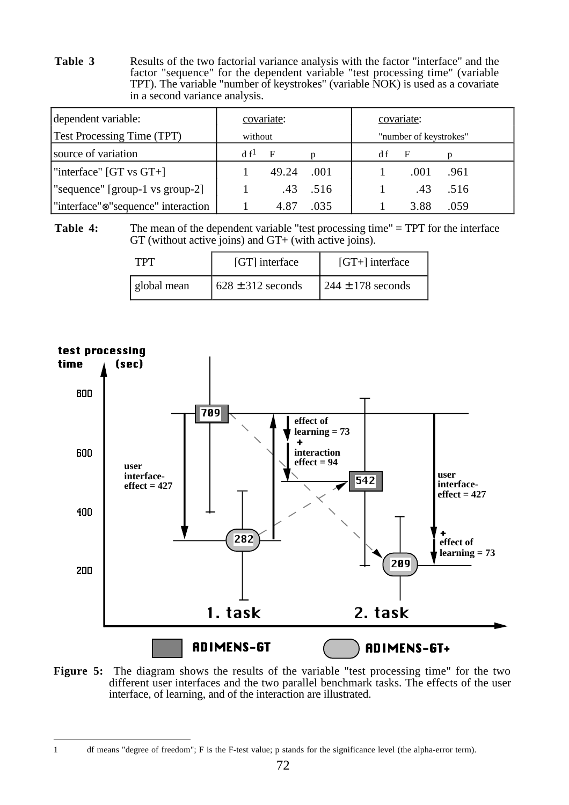**Table 3** Results of the two factorial variance analysis with the factor "interface" and the factor "sequence" for the dependent variable "test processing time" (variable TPT). The variable "number of keystrokes" (variable NOK) is used as a covariate in a second variance analysis.

| dependent variable:                             | covariate:      |              |                        | covariate: |      |      |  |
|-------------------------------------------------|-----------------|--------------|------------------------|------------|------|------|--|
| <b>Test Processing Time (TPT)</b>               | without         |              | "number of keystrokes" |            |      |      |  |
| source of variation                             | df <sup>1</sup> | $\mathbf{F}$ |                        | d f        | F    |      |  |
| "interface" $[GT vs GT+]$                       |                 | 49.24        | .001                   |            | .001 | .961 |  |
| "sequence" [group-1 vs group-2]                 |                 |              | $.43$ $.516$           |            | .43  | .516 |  |
| "interface" <sup>®</sup> "sequence" interaction |                 | 4.87         | .035                   |            | 3.88 | .059 |  |

Table 4: The mean of the dependent variable "test processing time" = TPT for the interface GT (without active joins) and GT+ (with active joins).

| l'P'I       | [GT] interface        | $[GT+]$ interface     |
|-------------|-----------------------|-----------------------|
| global mean | $628 \pm 312$ seconds | $244 \pm 178$ seconds |



Figure 5: The diagram shows the results of the variable "test processing time" for the two different user interfaces and the two parallel benchmark tasks. The effects of the user interface, of learning, and of the interaction are illustrated.

<sup>1</sup> df means "degree of freedom"; F is the F-test value; p stands for the significance level (the alpha-error term).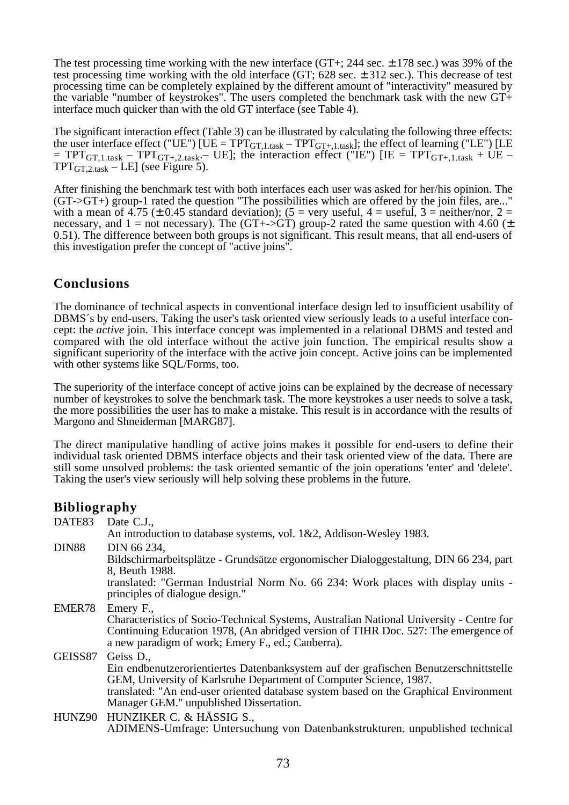The test processing time working with the new interface  $(GT+)$ ; 244 sec.  $\pm$  178 sec.) was 39% of the test processing time working with the old interface (GT; 628 sec. ± 312 sec.). This decrease of test processing time can be completely explained by the different amount of "interactivity" measured by the variable "number of keystrokes". The users completed the benchmark task with the new GT+ interface much quicker than with the old GT interface (see Table 4).

The significant interaction effect (Table 3) can be illustrated by calculating the following three effects: the user interface effect ("UE") [UE =  $TPT_{GT,1.task} - TPT_{GT+,1.task}$ ]; the effect of learning ("LE") [LE = TPT<sub>GT,1.task</sub> – TPT<sub>GT+,2.task</sub>.– UE]; the interaction effect ("IE") [IE = TPT<sub>GT+,1.task</sub> + UE –  $TPT_{GT,2,\text{task}} - LE$ ] (see Figure 5).

After finishing the benchmark test with both interfaces each user was asked for her/his opinion. The  $(GT > GT+)$  group-1 rated the question "The possibilities which are offered by the join files, are..." with a mean of 4.75 ( $\pm$  0.45 standard deviation); (5 = very useful, 4 = useful, 3 = neither/nor, 2 = necessary, and 1 = not necessary). The (GT+->GT) group-2 rated the same question with 4.60 ( $\pm$ 0.51). The difference between both groups is not significant. This result means, that all end-users of this investigation prefer the concept of "active joins".

#### **Conclusions**

The dominance of technical aspects in conventional interface design led to insufficient usability of DBMS´s by end-users. Taking the user's task oriented view seriously leads to a useful interface concept: the *active* join. This interface concept was implemented in a relational DBMS and tested and compared with the old interface without the active join function. The empirical results show a significant superiority of the interface with the active join concept. Active joins can be implemented with other systems like SOL/Forms, too.

The superiority of the interface concept of active joins can be explained by the decrease of necessary number of keystrokes to solve the benchmark task. The more keystrokes a user needs to solve a task, the more possibilities the user has to make a mistake. This result is in accordance with the results of Margono and Shneiderman [MARG87].

The direct manipulative handling of active joins makes it possible for end-users to define their individual task oriented DBMS interface objects and their task oriented view of the data. There are still some unsolved problems: the task oriented semantic of the join operations 'enter' and 'delete'. Taking the user's view seriously will help solving these problems in the future.

#### **Bibliography**

| DATE83       | Date C.J.,                                                                                                                                                                                                                                                                                                 |
|--------------|------------------------------------------------------------------------------------------------------------------------------------------------------------------------------------------------------------------------------------------------------------------------------------------------------------|
|              | An introduction to database systems, vol. 1&2, Addison-Wesley 1983.                                                                                                                                                                                                                                        |
| <b>DIN88</b> | DIN 66 234,<br>Bildschirmarbeitsplätze - Grundsätze ergonomischer Dialoggestaltung, DIN 66 234, part<br>8, Beuth 1988.<br>translated: "German Industrial Norm No. 66 234: Work places with display units -<br>principles of dialogue design."                                                              |
| EMER78       | Emery F.,<br>Characteristics of Socio-Technical Systems, Australian National University - Centre for<br>Continuing Education 1978, (An abridged version of TIHR Doc. 527: The emergence of<br>a new paradigm of work; Emery F., ed.; Canberra).                                                            |
| GEISS87      | Geiss D.,<br>Ein endbenutzerorientiertes Datenbanksystem auf der grafischen Benutzerschnittstelle<br>GEM, University of Karlsruhe Department of Computer Science, 1987.<br>translated: "An end-user oriented database system based on the Graphical Environment<br>Manager GEM." unpublished Dissertation. |
|              | HUNZ90 HUNZIKER C. & HÄSSIG S.,<br>ADIMENS-Umfrage: Untersuchung von Datenbankstrukturen. unpublished technical                                                                                                                                                                                            |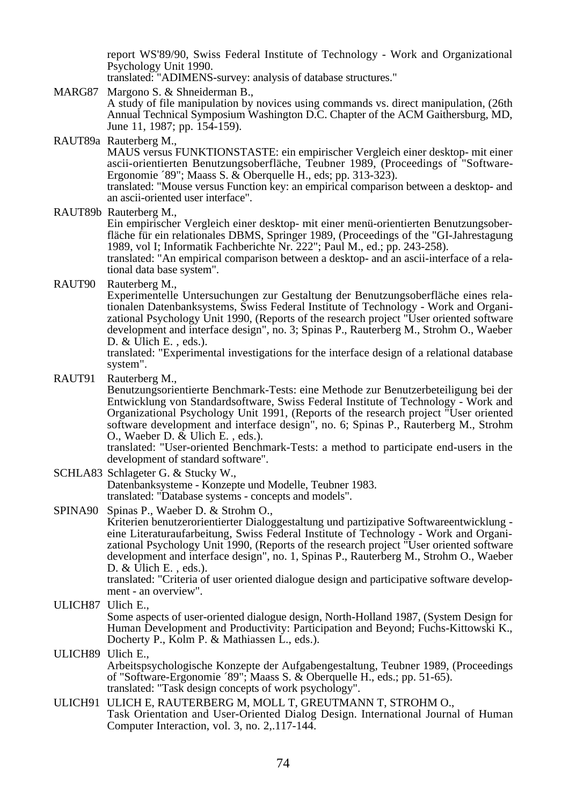report WS'89/90, Swiss Federal Institute of Technology - Work and Organizational Psychology Unit 1990.

translated: "ADIMENS-survey: analysis of database structures."

- MARG87 Margono S. & Shneiderman B., A study of file manipulation by novices using commands vs. direct manipulation, (26th Annual Technical Symposium Washington D.C. Chapter of the ACM Gaithersburg, MD, June 11, 1987; pp. 154-159).
- RAUT89a Rauterberg M.,

MAUS versus FUNKTIONSTASTE: ein empirischer Vergleich einer desktop- mit einer ascii-orientierten Benutzungsoberfläche, Teubner 1989, (Proceedings of "Software-Ergonomie ´89"; Maass S. & Oberquelle H., eds; pp. 313-323).

translated: "Mouse versus Function key: an empirical comparison between a desktop- and an ascii-oriented user interface".

RAUT89b Rauterberg M., Ein empirischer Vergleich einer desktop- mit einer menü-orientierten Benutzungsoberfläche für ein relationales DBMS, Springer 1989, (Proceedings of the "GI-Jahrestagung 1989, vol I; Informatik Fachberichte Nr. 222"; Paul M., ed.; pp. 243-258). translated: "An empirical comparison between a desktop- and an ascii-interface of a relational data base system".

RAUT90 Rauterberg M.,

Experimentelle Untersuchungen zur Gestaltung der Benutzungsoberfläche eines relationalen Datenbanksystems, Swiss Federal Institute of Technology - Work and Organizational Psychology Unit 1990, (Reports of the research project "User oriented software development and interface design", no. 3; Spinas P., Rauterberg M., Strohm O., Waeber D. & Ulich E., eds.).

translated: "Experimental investigations for the interface design of a relational database system".

RAUT91 Rauterberg M.,

Benutzungsorientierte Benchmark-Tests: eine Methode zur Benutzerbeteiligung bei der Entwicklung von Standardsoftware, Swiss Federal Institute of Technology - Work and Organizational Psychology Unit 1991, (Reports of the research project "User oriented software development and interface design", no. 6; Spinas P., Rauterberg M., Strohm O., Waeber D. & Ulich E. , eds.).

translated: "User-oriented Benchmark-Tests: a method to participate end-users in the development of standard software".

- SCHLA83 Schlageter G. & Stucky W., Datenbanksysteme - Konzepte und Modelle, Teubner 1983. translated: "Database systems - concepts and models".
- SPINA90 Spinas P., Waeber D. & Strohm O.,

Kriterien benutzerorientierter Dialoggestaltung und partizipative Softwareentwicklung eine Literaturaufarbeitung, Swiss Federal Institute of Technology - Work and Organizational Psychology Unit 1990, (Reports of the research project "User oriented software development and interface design", no. 1, Spinas P., Rauterberg M., Strohm O., Waeber D. & Ulich E. , eds.).

translated: "Criteria of user oriented dialogue design and participative software development - an overview".

- ULICH87 Ulich E., Some aspects of user-oriented dialogue design, North-Holland 1987, (System Design for Human Development and Productivity: Participation and Beyond; Fuchs-Kittowski K., Docherty P., Kolm P. & Mathiassen L., eds.).
- ULICH89 Ulich E., Arbeitspsychologische Konzepte der Aufgabengestaltung, Teubner 1989, (Proceedings of "Software-Ergonomie ´89"; Maass S. & Oberquelle H., eds.; pp. 51-65). translated: "Task design concepts of work psychology".
- ULICH91 ULICH E, RAUTERBERG M, MOLL T, GREUTMANN T, STROHM O., Task Orientation and User-Oriented Dialog Design. International Journal of Human Computer Interaction, vol. 3, no. 2,.117-144.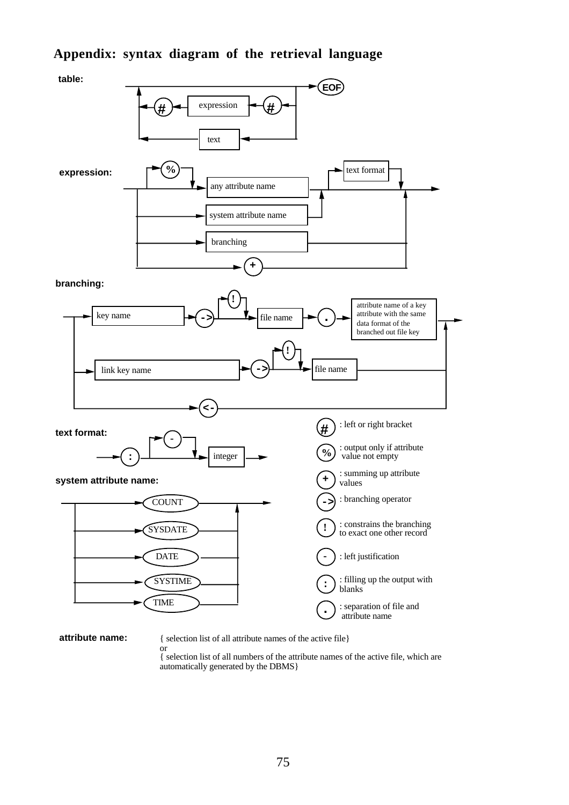### **Appendix: syntax diagram of the retrieval language**



**attribute name:** { selection list of all attribute names of the active file}

or { selection list of all numbers of the attribute names of the active file, which are automatically generated by the DBMS}